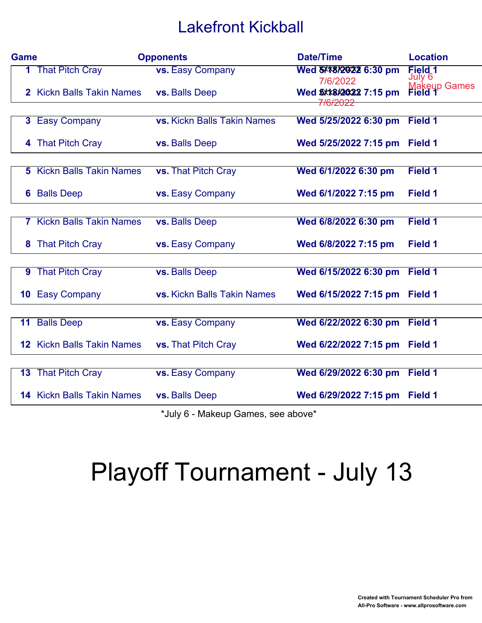## Lakefront Kickball

| <b>Game</b> | <b>Opponents</b>                  |                                    | <b>Date/Time</b>                   | <b>Location</b>         |
|-------------|-----------------------------------|------------------------------------|------------------------------------|-------------------------|
|             | <b>1</b> That Pitch Cray          | <b>vs.</b> Easy Company            |                                    | Field 1<br>July 6       |
|             | 2 Kickn Balls Takin Names         | vs. Balls Deep                     | 7/6/2022<br>Wed \$XX8X2022 7:15 pm | Makeup Games<br>Field 1 |
|             |                                   |                                    | <del>7/6/2022</del>                |                         |
|             | 3 Easy Company                    | <b>vs. Kickn Balls Takin Names</b> | Wed 5/25/2022 6:30 pm              | Field 1                 |
|             | 4 That Pitch Cray                 | vs. Balls Deep                     | Wed 5/25/2022 7:15 pm              | Field 1                 |
|             |                                   |                                    |                                    |                         |
|             | <b>5</b> Kickn Balls Takin Names  | vs. That Pitch Cray                | Wed 6/1/2022 6:30 pm               | Field 1                 |
|             | <b>6</b> Balls Deep               | vs. Easy Company                   | Wed 6/1/2022 7:15 pm               | <b>Field 1</b>          |
|             |                                   |                                    |                                    |                         |
|             | <b>7</b> Kickn Balls Takin Names  | vs. Balls Deep                     | Wed 6/8/2022 6:30 pm               | Field 1                 |
|             | 8 That Pitch Cray                 | <b>vs.</b> Easy Company            | Wed 6/8/2022 7:15 pm               | Field 1                 |
|             |                                   |                                    |                                    |                         |
|             | 9 That Pitch Cray                 | vs. Balls Deep                     | Wed 6/15/2022 6:30 pm              | Field 1                 |
|             | <b>10 Easy Company</b>            | vs. Kickn Balls Takin Names        | Wed 6/15/2022 7:15 pm              | Field 1                 |
|             |                                   |                                    |                                    |                         |
|             | 11 Balls Deep                     | vs. Easy Company                   | Wed 6/22/2022 6:30 pm              | Field 1                 |
|             | <b>12 Kickn Balls Takin Names</b> | <b>vs.</b> That Pitch Cray         | Wed 6/22/2022 7:15 pm              | Field 1                 |
|             |                                   |                                    |                                    |                         |
|             | <b>13 That Pitch Cray</b>         | vs. Easy Company                   | Wed 6/29/2022 6:30 pm              | Field 1                 |
|             | <b>14 Kickn Balls Takin Names</b> | vs. Balls Deep                     | Wed 6/29/2022 7:15 pm              | Field 1                 |
|             |                                   |                                    |                                    |                         |

\*July 6 - Makeup Games, see above\*

## Playoff Tournament - July 13